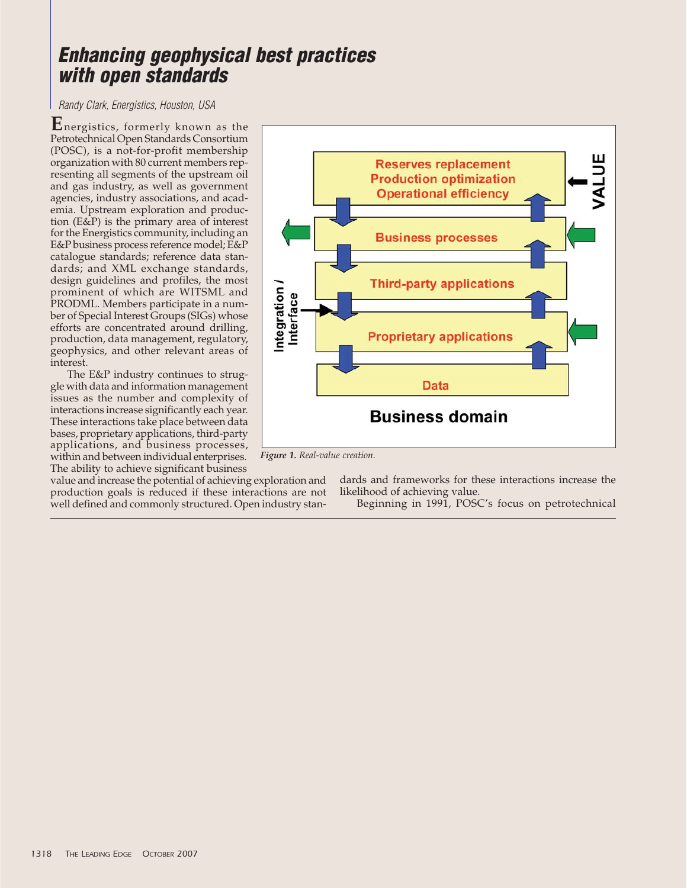## **Enhancing geophysical best practices with open standards**

Randy Clark, Energistics, Houston, USA

**E**nergistics, formerly known as the Petrotechnical Open Standards Consortium (POSC), is a not-for-profit membership organization with 80 current members representing all segments of the upstream oil and gas industry, as well as government agencies, industry associations, and academia. Upstream exploration and production (E&P) is the primary area of interest for the Energistics community, including an E&P business process reference model; E&P catalogue standards; reference data standards; and XML exchange standards, design guidelines and profiles, the most prominent of which are WITSML and PRODML. Members participate in a number of Special Interest Groups (SIGs) whose efforts are concentrated around drilling, production, data management, regulatory, geophysics, and other relevant areas of interest.

The E&P industry continues to struggle with data and information management issues as the number and complexity of interactions increase significantly each year. These interactions take place between data bases, proprietary applications, third-party applications, and business processes, within and between individual enterprises. The ability to achieve significant business

value and increase the potential of achieving exploration and production goals is reduced if these interactions are not well defined and commonly structured. Open industry stan-



*Figure 1. Real-value creation.*

dards and frameworks for these interactions increase the likelihood of achieving value.

Beginning in 1991, POSC's focus on petrotechnical